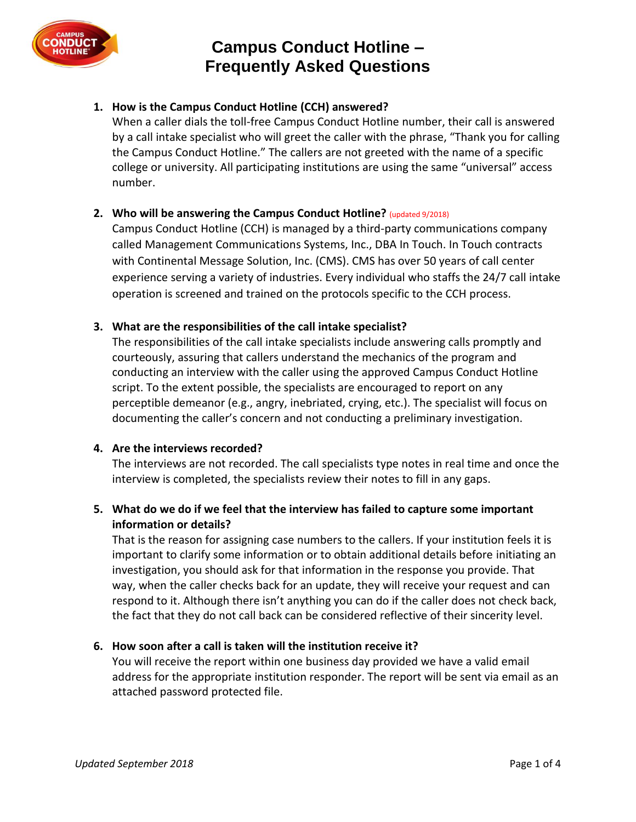

# **Campus Conduct Hotline – Frequently Asked Questions**

# **1. How is the Campus Conduct Hotline (CCH) answered?**

When a caller dials the toll-free Campus Conduct Hotline number, their call is answered by a call intake specialist who will greet the caller with the phrase, "Thank you for calling the Campus Conduct Hotline." The callers are not greeted with the name of a specific college or university. All participating institutions are using the same "universal" access number.

## **2. Who will be answering the Campus Conduct Hotline?** (updated 9/2018)

Campus Conduct Hotline (CCH) is managed by a third-party communications company called Management Communications Systems, Inc., DBA In Touch. In Touch contracts with Continental Message Solution, Inc. (CMS). CMS has over 50 years of call center experience serving a variety of industries. Every individual who staffs the 24/7 call intake operation is screened and trained on the protocols specific to the CCH process.

## **3. What are the responsibilities of the call intake specialist?**

The responsibilities of the call intake specialists include answering calls promptly and courteously, assuring that callers understand the mechanics of the program and conducting an interview with the caller using the approved Campus Conduct Hotline script. To the extent possible, the specialists are encouraged to report on any perceptible demeanor (e.g., angry, inebriated, crying, etc.). The specialist will focus on documenting the caller's concern and not conducting a preliminary investigation.

## **4. Are the interviews recorded?**

The interviews are not recorded. The call specialists type notes in real time and once the interview is completed, the specialists review their notes to fill in any gaps.

# **5. What do we do if we feel that the interview has failed to capture some important information or details?**

That is the reason for assigning case numbers to the callers. If your institution feels it is important to clarify some information or to obtain additional details before initiating an investigation, you should ask for that information in the response you provide. That way, when the caller checks back for an update, they will receive your request and can respond to it. Although there isn't anything you can do if the caller does not check back, the fact that they do not call back can be considered reflective of their sincerity level.

## **6. How soon after a call is taken will the institution receive it?**

You will receive the report within one business day provided we have a valid email address for the appropriate institution responder. The report will be sent via email as an attached password protected file.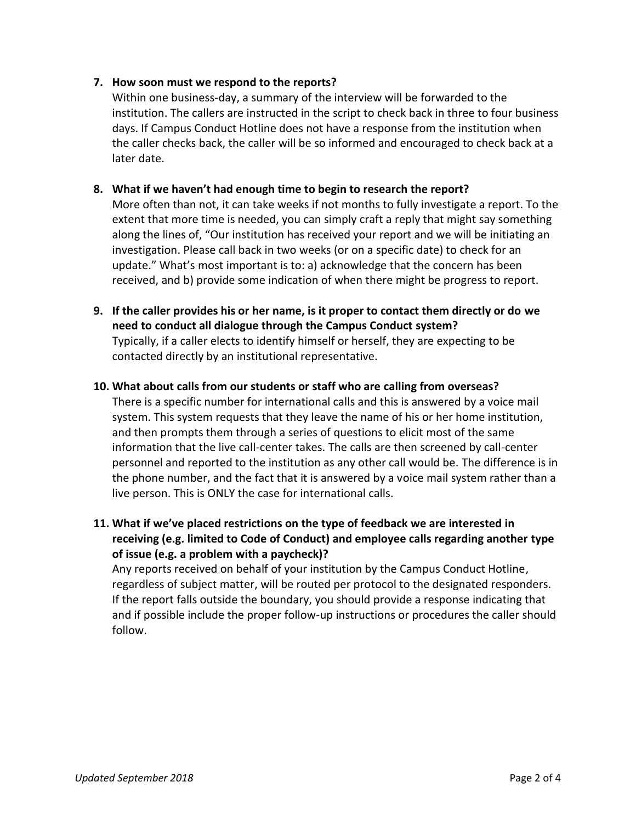## **7. How soon must we respond to the reports?**

Within one business-day, a summary of the interview will be forwarded to the institution. The callers are instructed in the script to check back in three to four business days. If Campus Conduct Hotline does not have a response from the institution when the caller checks back, the caller will be so informed and encouraged to check back at a later date.

## **8. What if we haven't had enough time to begin to research the report?**

More often than not, it can take weeks if not months to fully investigate a report. To the extent that more time is needed, you can simply craft a reply that might say something along the lines of, "Our institution has received your report and we will be initiating an investigation. Please call back in two weeks (or on a specific date) to check for an update." What's most important is to: a) acknowledge that the concern has been received, and b) provide some indication of when there might be progress to report.

**9. If the caller provides his or her name, is it proper to contact them directly or do we need to conduct all dialogue through the Campus Conduct system?** Typically, if a caller elects to identify himself or herself, they are expecting to be contacted directly by an institutional representative.

## **10. What about calls from our students or staff who are calling from overseas?**

There is a specific number for international calls and this is answered by a voice mail system. This system requests that they leave the name of his or her home institution, and then prompts them through a series of questions to elicit most of the same information that the live call-center takes. The calls are then screened by call-center personnel and reported to the institution as any other call would be. The difference is in the phone number, and the fact that it is answered by a voice mail system rather than a live person. This is ONLY the case for international calls.

**11. What if we've placed restrictions on the type of feedback we are interested in receiving (e.g. limited to Code of Conduct) and employee calls regarding another type of issue (e.g. a problem with a paycheck)?**

Any reports received on behalf of your institution by the Campus Conduct Hotline, regardless of subject matter, will be routed per protocol to the designated responders. If the report falls outside the boundary, you should provide a response indicating that and if possible include the proper follow-up instructions or procedures the caller should follow.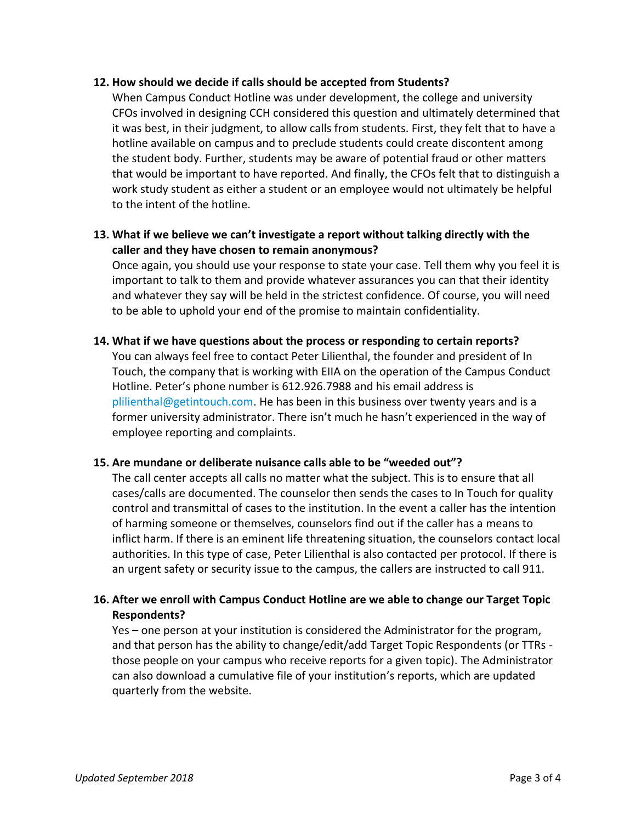#### **12. How should we decide if calls should be accepted from Students?**

When Campus Conduct Hotline was under development, the college and university CFOs involved in designing CCH considered this question and ultimately determined that it was best, in their judgment, to allow calls from students. First, they felt that to have a hotline available on campus and to preclude students could create discontent among the student body. Further, students may be aware of potential fraud or other matters that would be important to have reported. And finally, the CFOs felt that to distinguish a work study student as either a student or an employee would not ultimately be helpful to the intent of the hotline.

## **13. What if we believe we can't investigate a report without talking directly with the caller and they have chosen to remain anonymous?**

Once again, you should use your response to state your case. Tell them why you feel it is important to talk to them and provide whatever assurances you can that their identity and whatever they say will be held in the strictest confidence. Of course, you will need to be able to uphold your end of the promise to maintain confidentiality.

#### **14. What if we have questions about the process or responding to certain reports?**

You can always feel free to contact Peter Lilienthal, the founder and president of In Touch, the company that is working with EIIA on the operation of the Campus Conduct Hotline. Peter's phone number is 612.926.7988 and his email address is [plilienthal@getintouch.com.](file:///C:/Users/Monica/Documents/CCH%20-%20MTurner/plilienthal@getintouch.com) He has been in this business over twenty years and is a former university administrator. There isn't much he hasn't experienced in the way of employee reporting and complaints.

## **15. Are mundane or deliberate nuisance calls able to be "weeded out"?**

The call center accepts all calls no matter what the subject. This is to ensure that all cases/calls are documented. The counselor then sends the cases to In Touch for quality control and transmittal of cases to the institution. In the event a caller has the intention of harming someone or themselves, counselors find out if the caller has a means to inflict harm. If there is an eminent life threatening situation, the counselors contact local authorities. In this type of case, Peter Lilienthal is also contacted per protocol. If there is an urgent safety or security issue to the campus, the callers are instructed to call 911.

# **16. After we enroll with Campus Conduct Hotline are we able to change our Target Topic Respondents?**

Yes – one person at your institution is considered the Administrator for the program, and that person has the ability to change/edit/add Target Topic Respondents (or TTRs those people on your campus who receive reports for a given topic). The Administrator can also download a cumulative file of your institution's reports, which are updated quarterly from the website.